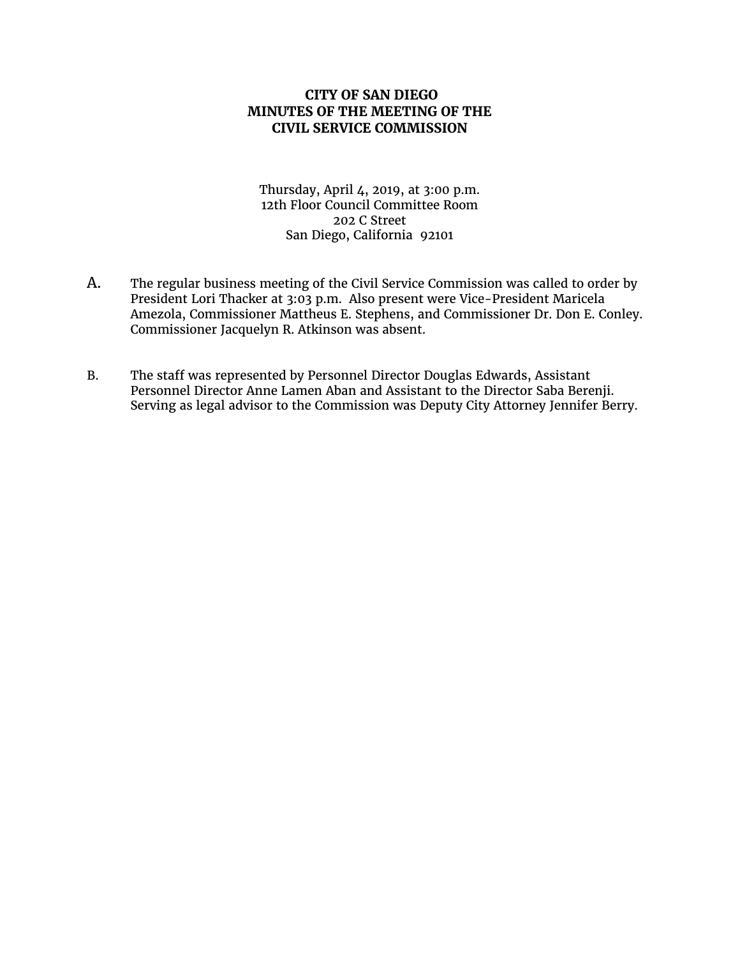# **CITY OF SAN DIEGO MINUTES OF THE MEETING OF THE CIVIL SERVICE COMMISSION**

Thursday, April 4, 2019, at 3:00 p.m. 12th Floor Council Committee Room 202 C Street San Diego, California 92101

- A. The regular business meeting of the Civil Service Commission was called to order by President Lori Thacker at 3:03 p.m. Also present were Vice-President Maricela Amezola, Commissioner Mattheus E. Stephens, and Commissioner Dr. Don E. Conley. Commissioner Jacquelyn R. Atkinson was absent.
- B. The staff was represented by Personnel Director Douglas Edwards, Assistant Personnel Director Anne Lamen Aban and Assistant to the Director Saba Berenji. Serving as legal advisor to the Commission was Deputy City Attorney Jennifer Berry.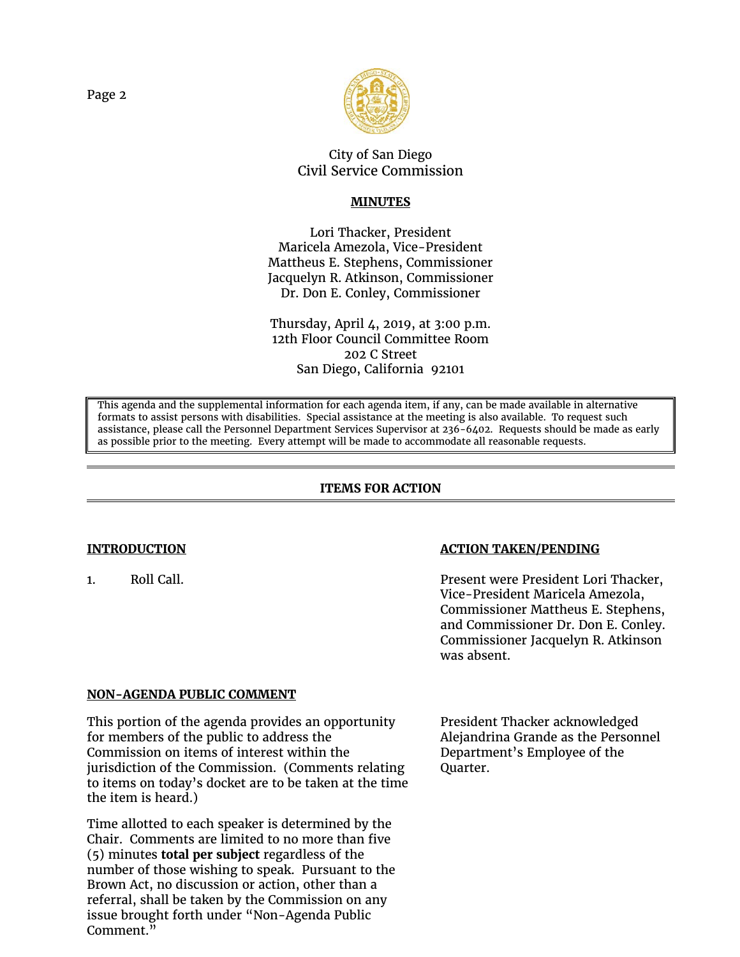

# City of San Diego Civil Service Commission

# **MINUTES**

Lori Thacker, President Maricela Amezola, Vice-President Mattheus E. Stephens, Commissioner Jacquelyn R. Atkinson, Commissioner Dr. Don E. Conley, Commissioner

Thursday, April 4, 2019, at 3:00 p.m. 12th Floor Council Committee Room 202 C Street San Diego, California 92101

This agenda and the supplemental information for each agenda item, if any, can be made available in alternative formats to assist persons with disabilities. Special assistance at the meeting is also available. To request such assistance, please call the Personnel Department Services Supervisor at 236-6402. Requests should be made as early as possible prior to the meeting. Every attempt will be made to accommodate all reasonable requests.

# **ITEMS FOR ACTION**

# **INTRODUCTION** *ACTION TAKEN/PENDING*

1. Roll Call. Present were President Lori Thacker, Vice-President Maricela Amezola, Commissioner Mattheus E. Stephens, and Commissioner Dr. Don E. Conley. Commissioner Jacquelyn R. Atkinson was absent.

## **NON-AGENDA PUBLIC COMMENT**

This portion of the agenda provides an opportunity for members of the public to address the Commission on items of interest within the jurisdiction of the Commission. (Comments relating to items on today's docket are to be taken at the time the item is heard.)

Time allotted to each speaker is determined by the Chair. Comments are limited to no more than five (5) minutes **total per subject** regardless of the number of those wishing to speak. Pursuant to the Brown Act, no discussion or action, other than a referral, shall be taken by the Commission on any issue brought forth under "Non-Agenda Public Comment.<sup>"</sup>

President Thacker acknowledged Alejandrina Grande as the Personnel Department's Employee of the Quarter.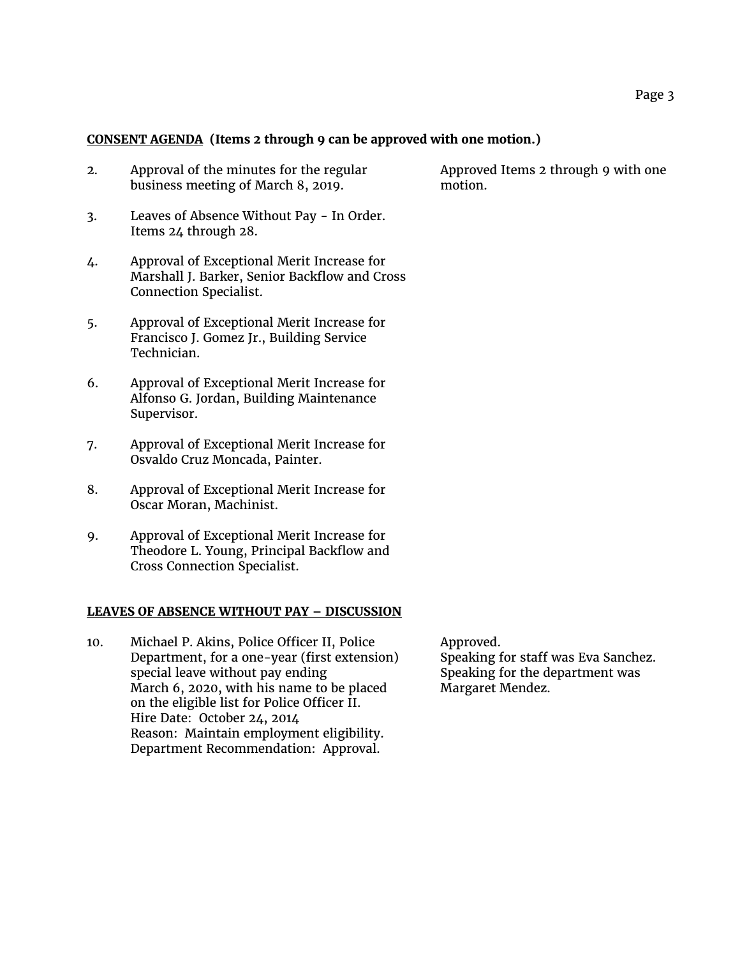## **CONSENT AGENDA (Items 2 through 9 can be approved with one motion.)**

- 2. Approval of the minutes for the regular business meeting of March 8, 2019.
- 3. Leaves of Absence Without Pay In Order. Items 24 through 28.
- 4. Approval of Exceptional Merit Increase for Marshall J. Barker, Senior Backflow and Cross Connection Specialist.
- 5. Approval of Exceptional Merit Increase for Francisco J. Gomez Jr., Building Service Technician.
- 6. Approval of Exceptional Merit Increase for Alfonso G. Jordan, Building Maintenance Supervisor.
- 7. Approval of Exceptional Merit Increase for Osvaldo Cruz Moncada, Painter.
- 8. Approval of Exceptional Merit Increase for Oscar Moran, Machinist.
- 9. Approval of Exceptional Merit Increase for Theodore L. Young, Principal Backflow and Cross Connection Specialist.

### **LEAVES OF ABSENCE WITHOUT PAY – DISCUSSION**

10. Michael P. Akins, Police Officer II, Police Department, for a one-year (first extension) special leave without pay ending March 6, 2020, with his name to be placed on the eligible list for Police Officer II. Hire Date: October 24, 2014 Reason: Maintain employment eligibility. Department Recommendation: Approval.

Approved Items 2 through 9 with one motion.

Approved. Speaking for staff was Eva Sanchez. Speaking for the department was

Margaret Mendez.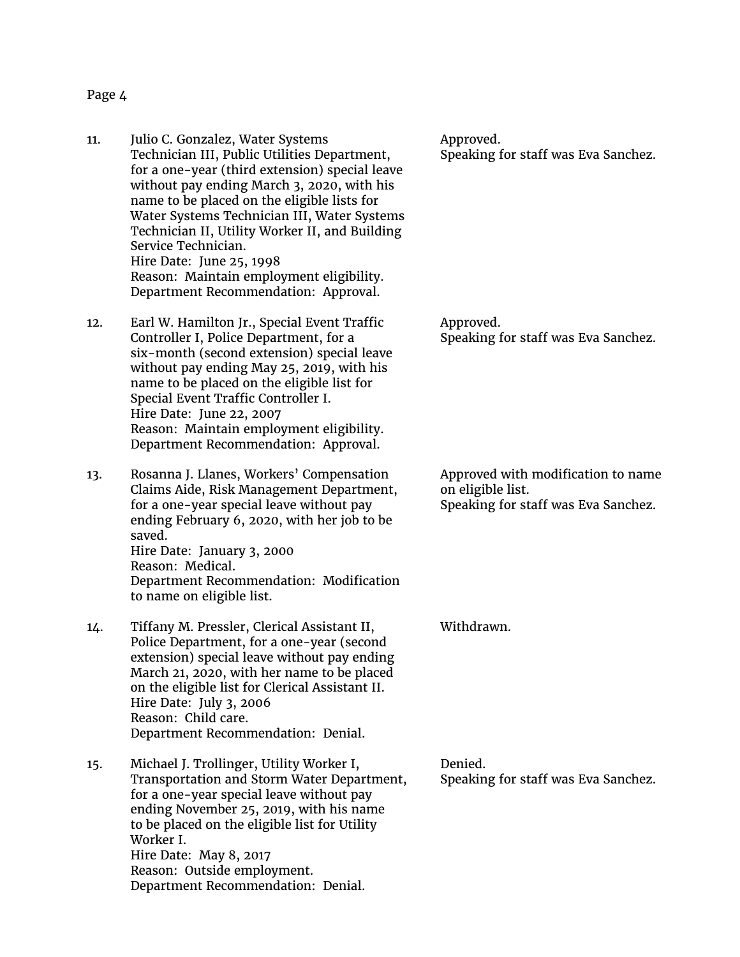#### Page 4

- 11. Julio C. Gonzalez, Water Systems Technician III, Public Utilities Department, for a one-year (third extension) special leave without pay ending March 3, 2020, with his name to be placed on the eligible lists for Water Systems Technician III, Water Systems Technician II, Utility Worker II, and Building Service Technician. Hire Date: June 25, 1998 Reason: Maintain employment eligibility. Department Recommendation: Approval.
- 12. Earl W. Hamilton Jr., Special Event Traffic Controller I, Police Department, for a six-month (second extension) special leave without pay ending May 25, 2019, with his name to be placed on the eligible list for Special Event Traffic Controller I. Hire Date: June 22, 2007 Reason: Maintain employment eligibility. Department Recommendation: Approval.
- 13. Rosanna J. Llanes, Workers' Compensation Claims Aide, Risk Management Department, for a one-year special leave without pay ending February 6, 2020, with her job to be saved. Hire Date: January 3, 2000 Reason: Medical. Department Recommendation: Modification to name on eligible list.
- 14. Tiffany M. Pressler, Clerical Assistant II, Police Department, for a one-year (second extension) special leave without pay ending March 21, 2020, with her name to be placed on the eligible list for Clerical Assistant II. Hire Date: July 3, 2006 Reason: Child care. Department Recommendation: Denial.
- 15. Michael J. Trollinger, Utility Worker I, Transportation and Storm Water Department, for a one-year special leave without pay ending November 25, 2019, with his name to be placed on the eligible list for Utility Worker I. Hire Date: May 8, 2017 Reason: Outside employment. Department Recommendation: Denial.

Approved. Speaking for staff was Eva Sanchez.

Approved. Speaking for staff was Eva Sanchez.

Approved with modification to name on eligible list. Speaking for staff was Eva Sanchez.

Withdrawn.

Denied. Speaking for staff was Eva Sanchez.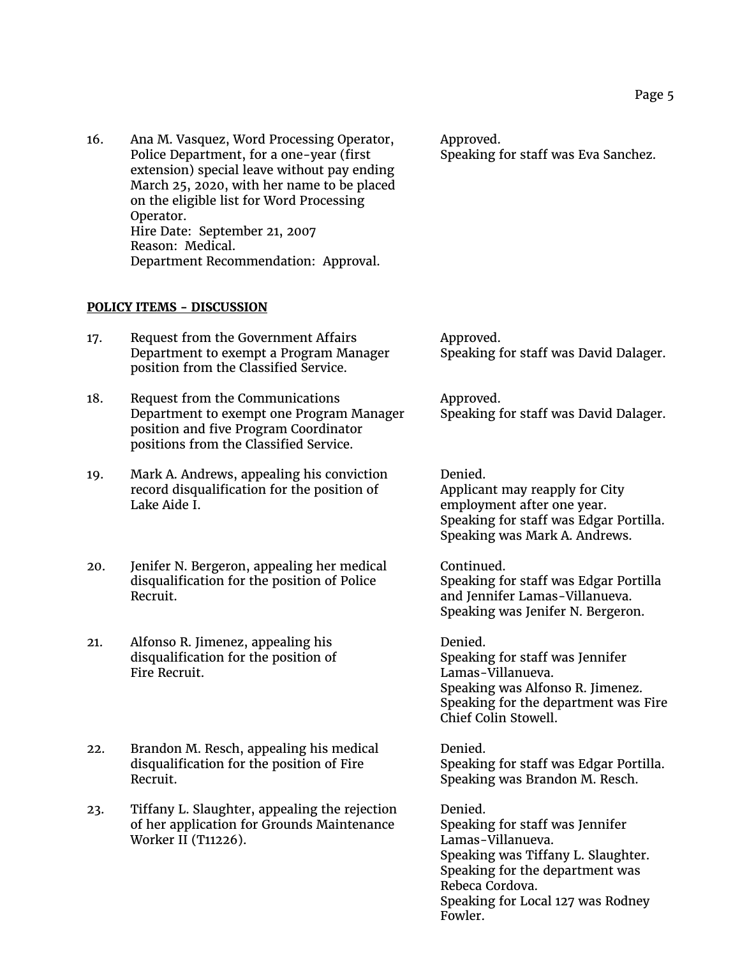16. Ana M. Vasquez, Word Processing Operator, Police Department, for a one-year (first extension) special leave without pay ending March 25, 2020, with her name to be placed on the eligible list for Word Processing Operator. Hire Date: September 21, 2007 Reason: Medical. Department Recommendation: Approval.

Approved. Speaking for staff was Eva Sanchez.

## **POLICY ITEMS - DISCUSSION**

| 17. | Request from the Government Affairs    | Approved.                             |
|-----|----------------------------------------|---------------------------------------|
|     | Department to exempt a Program Manager | Speaking for staff was David Dalager. |
|     | position from the Classified Service.  |                                       |

18. Request from the Communications Department to exempt one Program Manager position and five Program Coordinator positions from the Classified Service.

19. Mark A. Andrews, appealing his conviction record disqualification for the position of Lake Aide I.

20. Jenifer N. Bergeron, appealing her medical disqualification for the position of Police Recruit.

21. Alfonso R. Jimenez, appealing his disqualification for the position of Fire Recruit.

22. Brandon M. Resch, appealing his medical disqualification for the position of Fire Recruit.

23. Tiffany L. Slaughter, appealing the rejection of her application for Grounds Maintenance Worker II (T11226).

Denied. Applicant may reapply for City employment after one year. Speaking for staff was Edgar Portilla.

Speaking for staff was David Dalager.

Speaking was Mark A. Andrews.

Approved.

Continued. Speaking for staff was Edgar Portilla and Jennifer Lamas-Villanueva. Speaking was Jenifer N. Bergeron.

Denied. Speaking for staff was Jennifer Lamas-Villanueva. Speaking was Alfonso R. Jimenez. Speaking for the department was Fire Chief Colin Stowell.

Denied. Speaking for staff was Edgar Portilla. Speaking was Brandon M. Resch.

Denied. Speaking for staff was Jennifer Lamas-Villanueva. Speaking was Tiffany L. Slaughter. Speaking for the department was Rebeca Cordova. Speaking for Local 127 was Rodney Fowler.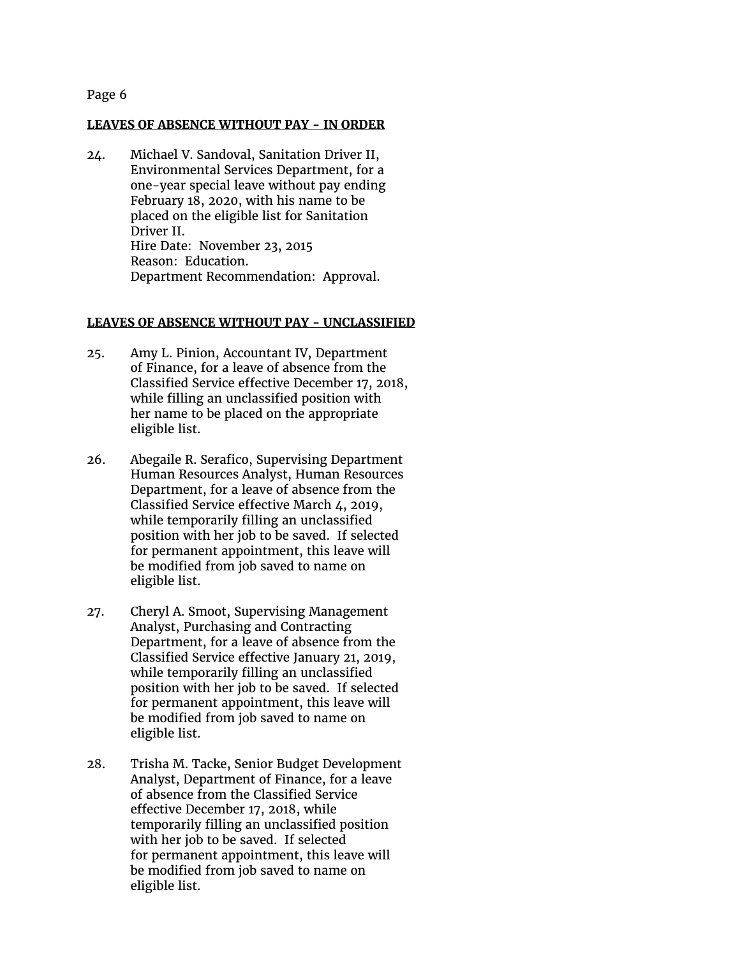## Page 6

### **LEAVES OF ABSENCE WITHOUT PAY - IN ORDER**

24. Michael V. Sandoval, Sanitation Driver II, Environmental Services Department, for a one-year special leave without pay ending February 18, 2020, with his name to be placed on the eligible list for Sanitation Driver II. Hire Date: November 23, 2015 Reason: Education. Department Recommendation: Approval.

#### **LEAVES OF ABSENCE WITHOUT PAY - UNCLASSIFIED**

- 25. Amy L. Pinion, Accountant IV, Department of Finance, for a leave of absence from the Classified Service effective December 17, 2018, while filling an unclassified position with her name to be placed on the appropriate eligible list.
- 26. Abegaile R. Serafico, Supervising Department Human Resources Analyst, Human Resources Department, for a leave of absence from the Classified Service effective March 4, 2019, while temporarily filling an unclassified position with her job to be saved. If selected for permanent appointment, this leave will be modified from job saved to name on eligible list.
- 27. Cheryl A. Smoot, Supervising Management Analyst, Purchasing and Contracting Department, for a leave of absence from the Classified Service effective January 21, 2019, while temporarily filling an unclassified position with her job to be saved. If selected for permanent appointment, this leave will be modified from job saved to name on eligible list.
- 28. Trisha M. Tacke, Senior Budget Development Analyst, Department of Finance, for a leave of absence from the Classified Service effective December 17, 2018, while temporarily filling an unclassified position with her job to be saved. If selected for permanent appointment, this leave will be modified from job saved to name on eligible list.